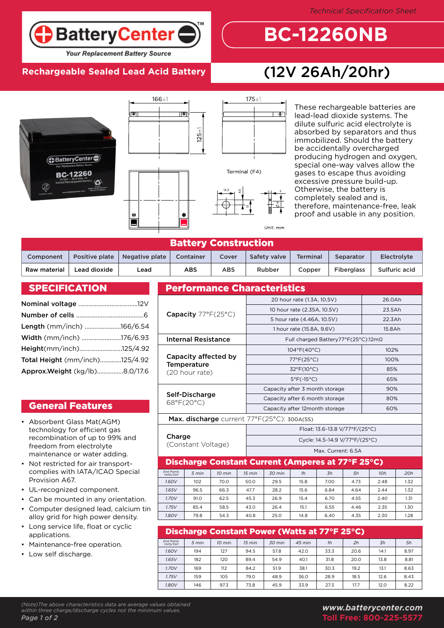**BatteryCenter** 

### **Your Replacement Battery Source**

# **Rechargeable Sealed Lead Acid Battery** (12V 26Ah/20hr)

 $+$ 

Unit:  $mr$ 

**BC-12260NB**





These rechargeable batteries are lead-lead dioxide systems. The dilute sulfuric acid electrolyte is absorbed by separators and thus immobilized. Should the battery be accidentally overcharged producing hydrogen and oxygen, special one-way valves allow the gases to escape thus avoiding excessive pressure build-up. Otherwise, the battery is completely sealed and is, therefore, maintenance-free, leak proof and usable in any position.

| <b>Battery Construction</b> |                |                |            |       |              |                 |                   |               |  |  |  |
|-----------------------------|----------------|----------------|------------|-------|--------------|-----------------|-------------------|---------------|--|--|--|
| Component                   | Positive plate | Negative plate | Container  | Cover | Safety valve | <b>Terminal</b> | Separator         | Electrolyte   |  |  |  |
| Raw material                | Lead dioxide   | Lead           | <b>ABS</b> | ABS   | Rubber       | Copper          | <b>Fiberglass</b> | Sulfuric acid |  |  |  |

### **SPECIFICATION**

| Length (mm/inch) 166/6.54      |  |
|--------------------------------|--|
| Width (mm/inch) 176/6.93       |  |
| Height(mm/inch)125/4.92        |  |
| Total Height (mm/inch)125/4.92 |  |
| Approx.Weight (kg/lb)8.0/17.6  |  |

# General Features

- Absorbent Glass Mat(AGM) technology for efficient gas recombination of up to 99% and freedom from electrolyte maintenance or water adding.
- Not restricted for air transportcomplies with IATA/ICAO Special Provision A67.
- UL-recognized component. •
- Can be mounted in any orientation. •
- Computer designed lead, calcium tin alloy grid for high power density. •
- Long service life, float or cyclic applications. •
- Maintenance-free operation. •
- Low self discharge.

| <b>Performance Characteristics</b>   |              |                                                   |  |                                     |        |  |      |  |      |        |        |      |      |
|--------------------------------------|--------------|---------------------------------------------------|--|-------------------------------------|--------|--|------|--|------|--------|--------|------|------|
|                                      |              |                                                   |  | 20 hour rate (1.3A, 10.5V)          |        |  |      |  |      |        | 26.0Ah |      |      |
|                                      |              |                                                   |  | 10 hour rate (2.35A, 10.5V)         |        |  |      |  |      |        | 23.5Ah |      |      |
| Capacity $77^{\circ}F(25^{\circ}C)$  |              |                                                   |  | 5 hour rate (4.46A, 10.5V)          |        |  |      |  |      |        | 22.3Ah |      |      |
|                                      |              |                                                   |  | 1 hour rate (15.8A, 9.6V)           |        |  |      |  |      | 15.8Ah |        |      |      |
| <b>Internal Resistance</b>           |              |                                                   |  | Full charged Battery77°F(25°C):12mΩ |        |  |      |  |      |        |        |      |      |
|                                      |              |                                                   |  | $104^{\circ}F(40^{\circ}C)$         |        |  |      |  |      | 102%   |        |      |      |
| Capacity affected by                 |              |                                                   |  | $77^{\circ}F(25^{\circ}C)$          |        |  |      |  |      | 100%   |        |      |      |
| <b>Temperature</b><br>(20 hour rate) |              |                                                   |  | $32^{\circ}F(10^{\circ}C)$          |        |  |      |  |      |        | 85%    |      |      |
|                                      |              |                                                   |  | $5^{\circ}$ F(-15 $^{\circ}$ C)     |        |  |      |  |      |        | 65%    |      |      |
|                                      |              |                                                   |  | Capacity after 3 month storage      |        |  |      |  |      | 90%    |        |      |      |
| Self-Discharge<br>68°F(20°C)         |              |                                                   |  | Capacity after 6 month storage      |        |  |      |  |      | 80%    |        |      |      |
|                                      |              |                                                   |  | Capacity after 12month storage      |        |  |      |  |      | 60%    |        |      |      |
|                                      |              | Max. discharge current 77°F(25°C): 300A(5S)       |  |                                     |        |  |      |  |      |        |        |      |      |
|                                      |              |                                                   |  | Float: 13.6~13.8 V/77°F/(25°C)      |        |  |      |  |      |        |        |      |      |
| Charge<br>(Constant Voltage)         |              |                                                   |  | Cycle: 14.5~14.9 V/77°F/(25°C)      |        |  |      |  |      |        |        |      |      |
|                                      |              |                                                   |  | Max. Current: 6.5A                  |        |  |      |  |      |        |        |      |      |
|                                      |              | Discharge Constant Current (Amperes at 77°F 25°C) |  |                                     |        |  |      |  |      |        |        |      |      |
| <b>End Points</b><br>Volts/Cell      | 5 min        | 10 min                                            |  | 15 min                              | 30 min |  | 1h   |  | 3h   | 5h     |        | 10h  | 20h  |
| 1.60V                                | 102          | 70.0                                              |  | 50.0                                | 29.5   |  | 15.8 |  | 7.00 | 4.73   |        | 2.48 | 1.32 |
| 1.65V                                | 96.5         | 66.3                                              |  | 47.7                                | 28.2   |  | 15.6 |  | 6.84 | 4.64   |        | 2.44 | 1.32 |
| 1.70V                                | 91.0         | 62.5                                              |  | 45.3                                | 26.9   |  | 15.4 |  | 6.70 | 4.55   |        | 2.40 | 1.31 |
| 1.75V                                | 85.4         | 58.5                                              |  | 43.0                                | 26.4   |  | 15.1 |  | 6.55 | 4.46   |        | 2.35 | 1.30 |
| 1.80V                                | 79.8<br>54.3 |                                                   |  | 40.8                                | 25.0   |  | 14.8 |  | 6.40 | 4.35   |        | 2.30 | 1.28 |

| Discharge Constant Power (Watts at 77°F 25°C) |       |                  |        |                  |          |      |      |      |      |  |  |
|-----------------------------------------------|-------|------------------|--------|------------------|----------|------|------|------|------|--|--|
| <b>End Points</b><br>Volts/Cell               | 5 min | $10 \text{ min}$ | 15 min | $30 \text{ min}$ | $45$ min | 1h   | 2h   | 3h   | 5h   |  |  |
| 1.60V                                         | 194   | 127              | 94.5   | 57.8             | 42.0     | 33.3 | 20.6 | 14.1 | 8.97 |  |  |
| 1.65V                                         | 182   | 120              | 89.4   | 54.9             | 40.1     | 31.8 | 20.0 | 13.8 | 8.81 |  |  |
| 1.70V                                         | 169   | 112              | 84.2   | 51.9             | 38.1     | 30.3 | 19.2 | 13.1 | 8.63 |  |  |
| 1.75V                                         | 159   | 105              | 79.0   | 48.9             | 36.0     | 28.9 | 18.5 | 12.6 | 8.43 |  |  |
| 1.80V                                         | 146   | 97.3             | 73.8   | 45.9             | 33.9     | 27.3 | 17.7 | 12.0 | 8.22 |  |  |

### *(Note)The above characteristics data are average values obtained within three charge/discharge cycles not the minimum values. Page 1 of 2*

# *www.batterycenter.com* **Toll Free: 800-225-5577**